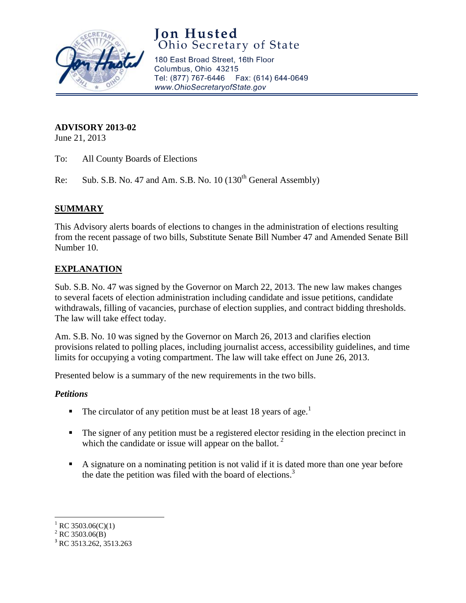

# **Jon Husted**<br>Ohio Secretary of State

180 East Broad Street, 16th Floor Columbus, Ohio 43215 Tel: (877) 767-6446 Fax: (614) 644-0649 www.OhioSecretaryofState.gov

# **ADVISORY 2013-02**

June 21, 2013

To: All County Boards of Elections

Re: Sub. S.B. No. 47 and Am. S.B. No.  $10 (130<sup>th</sup> General Assembly)$ 

## **SUMMARY**

This Advisory alerts boards of elections to changes in the administration of elections resulting from the recent passage of two bills, Substitute Senate Bill Number 47 and Amended Senate Bill Number 10.

# **EXPLANATION**

Sub. S.B. No. 47 was signed by the Governor on March 22, 2013. The new law makes changes to several facets of election administration including candidate and issue petitions, candidate withdrawals, filling of vacancies, purchase of election supplies, and contract bidding thresholds. The law will take effect today.

Am. S.B. No. 10 was signed by the Governor on March 26, 2013 and clarifies election provisions related to polling places, including journalist access, accessibility guidelines, and time limits for occupying a voting compartment. The law will take effect on June 26, 2013.

Presented below is a summary of the new requirements in the two bills.

## *Petitions*

- The circulator of any petition must be at least 18 years of age.<sup>1</sup>
- The signer of any petition must be a registered elector residing in the election precinct in which the candidate or issue will appear on the ballot.<sup>2</sup>
- A signature on a nominating petition is not valid if it is dated more than one year before the date the petition was filed with the board of elections.<sup>3</sup>

 $^{2}$  RC 3503.06(B)

 $\overline{\phantom{a}}$ <sup>1</sup> RC 3503.06(C)(1)

<sup>&</sup>lt;sup>3</sup> RC 3513.262, 3513.263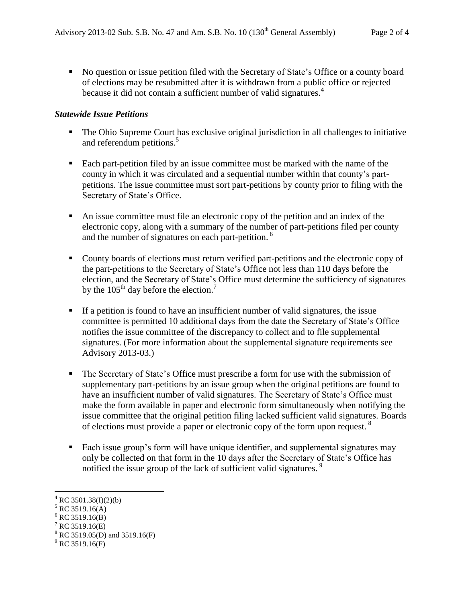No question or issue petition filed with the Secretary of State's Office or a county board of elections may be resubmitted after it is withdrawn from a public office or rejected because it did not contain a sufficient number of valid signatures.<sup>4</sup>

## *Statewide Issue Petitions*

- The Ohio Supreme Court has exclusive original jurisdiction in all challenges to initiative and referendum petitions.<sup>5</sup>
- Each part-petition filed by an issue committee must be marked with the name of the county in which it was circulated and a sequential number within that county's partpetitions. The issue committee must sort part-petitions by county prior to filing with the Secretary of State's Office.
- An issue committee must file an electronic copy of the petition and an index of the electronic copy, along with a summary of the number of part-petitions filed per county and the number of signatures on each part-petition.<sup>6</sup>
- County boards of elections must return verified part-petitions and the electronic copy of the part-petitions to the Secretary of State's Office not less than 110 days before the election, and the Secretary of State's Office must determine the sufficiency of signatures by the  $105<sup>th</sup>$  day before the election.<sup>7</sup>
- If a petition is found to have an insufficient number of valid signatures, the issue committee is permitted 10 additional days from the date the Secretary of State's Office notifies the issue committee of the discrepancy to collect and to file supplemental signatures. (For more information about the supplemental signature requirements see Advisory 2013-03.)
- The Secretary of State's Office must prescribe a form for use with the submission of supplementary part-petitions by an issue group when the original petitions are found to have an insufficient number of valid signatures. The Secretary of State's Office must make the form available in paper and electronic form simultaneously when notifying the issue committee that the original petition filing lacked sufficient valid signatures. Boards of elections must provide a paper or electronic copy of the form upon request.<sup>8</sup>
- Each issue group's form will have unique identifier, and supplemental signatures may only be collected on that form in the 10 days after the Secretary of State's Office has notified the issue group of the lack of sufficient valid signatures.<sup>9</sup>

l

 $4^4$  RC 3501.38(I)(2)(b)

 $5$  RC 3519.16(A)

 $6$  RC 3519.16(B)

 $7$  RC 3519.16(E)

 $8 \text{ RC } 3519.16(\text{E})$ <br>RC 3519.05(D) and 3519.16(F)

 $^{9}$  RC 3519.16(F)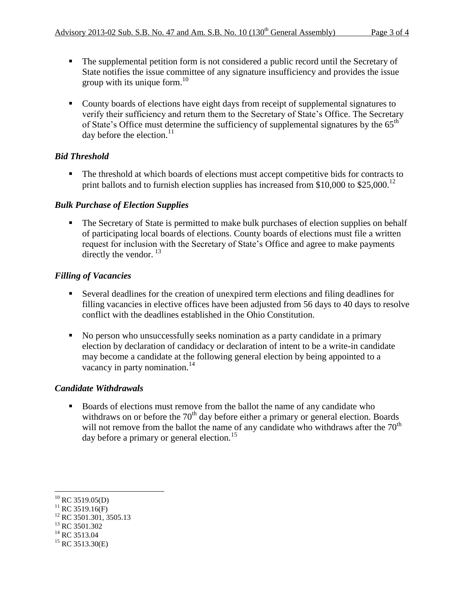- The supplemental petition form is not considered a public record until the Secretary of State notifies the issue committee of any signature insufficiency and provides the issue group with its unique form. $^{10}$
- County boards of elections have eight days from receipt of supplemental signatures to verify their sufficiency and return them to the Secretary of State's Office. The Secretary of State's Office must determine the sufficiency of supplemental signatures by the  $65<sup>th</sup>$ day before the election. $^{11}$

# *Bid Threshold*

The threshold at which boards of elections must accept competitive bids for contracts to print ballots and to furnish election supplies has increased from \$10,000 to \$25,000.<sup>12</sup>

# *Bulk Purchase of Election Supplies*

 The Secretary of State is permitted to make bulk purchases of election supplies on behalf of participating local boards of elections. County boards of elections must file a written request for inclusion with the Secretary of State's Office and agree to make payments directly the vendor.  $^{13}$ 

# *Filling of Vacancies*

- Several deadlines for the creation of unexpired term elections and filing deadlines for filling vacancies in elective offices have been adjusted from 56 days to 40 days to resolve conflict with the deadlines established in the Ohio Constitution.
- No person who unsuccessfully seeks nomination as a party candidate in a primary election by declaration of candidacy or declaration of intent to be a write-in candidate may become a candidate at the following general election by being appointed to a vacancy in party nomination.<sup>14</sup>

## *Candidate Withdrawals*

Boards of elections must remove from the ballot the name of any candidate who withdraws on or before the  $70<sup>th</sup>$  day before either a primary or general election. Boards will not remove from the ballot the name of any candidate who withdraws after the  $70<sup>th</sup>$ day before a primary or general election.<sup>15</sup>

l  $^{10}$  RC 3519.05(D)

 $11$  RC 3519.16(F)

<sup>&</sup>lt;sup>12</sup> RC 3501.301, 3505.13

 $13$  RC 3501.302

 $14$  RC 3513.04

 $15$  RC 3513.30(E)